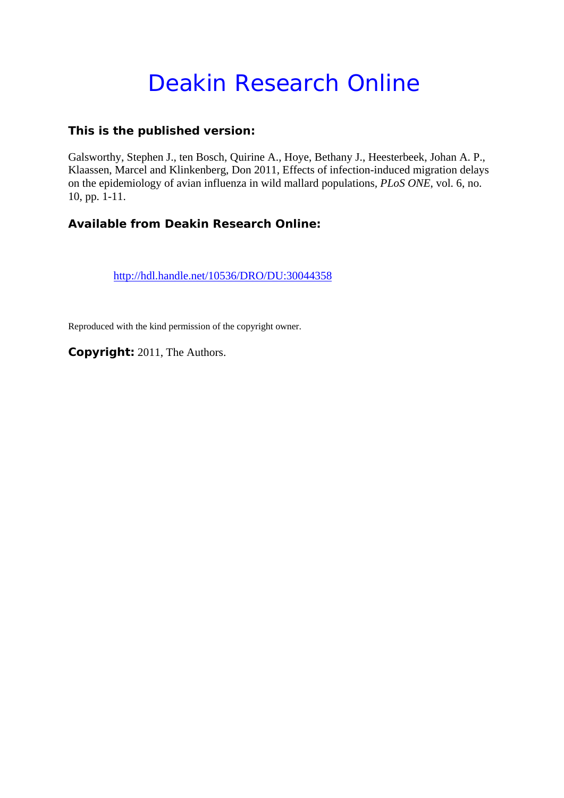# Deakin Research Online

## **This is the published version:**

Galsworthy, Stephen J., ten Bosch, Quirine A., Hoye, Bethany J., Heesterbeek, Johan A. P., Klaassen, Marcel and Klinkenberg, Don 2011, Effects of infection-induced migration delays on the epidemiology of avian influenza in wild mallard populations*, PLoS ONE*, vol. 6, no. 10, pp. 1-11.

## **Available from Deakin Research Online:**

http://hdl.handle.net/10536/DRO/DU:30044358

Reproduced with the kind permission of the copyright owner.

**Copyright:** 2011, The Authors.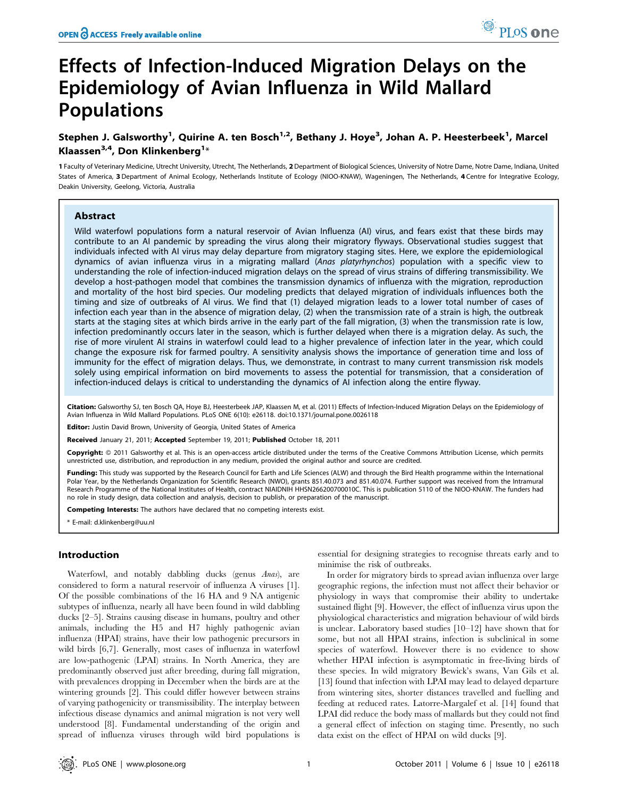## Effects of Infection-Induced Migration Delays on the Epidemiology of Avian Influenza in Wild Mallard Populations

### Stephen J. Galsworthy<sup>1</sup>, Quirine A. ten Bosch<sup>1,2</sup>, Bethany J. Hoye<sup>3</sup>, Johan A. P. Heesterbeek<sup>1</sup>, Marcel Klaassen $^{3,4}$ , Don Klinkenberg $^{1*}$

1 Faculty of Veterinary Medicine, Utrecht University, Utrecht, The Netherlands, 2 Department of Biological Sciences, University of Notre Dame, Notre Dame, Indiana, United States of America, 3 Department of Animal Ecology, Netherlands Institute of Ecology (NIOO-KNAW), Wageningen, The Netherlands, 4 Centre for Integrative Ecology, Deakin University, Geelong, Victoria, Australia

#### Abstract

Wild waterfowl populations form a natural reservoir of Avian Influenza (AI) virus, and fears exist that these birds may contribute to an AI pandemic by spreading the virus along their migratory flyways. Observational studies suggest that individuals infected with AI virus may delay departure from migratory staging sites. Here, we explore the epidemiological dynamics of avian influenza virus in a migrating mallard (Anas platyrhynchos) population with a specific view to understanding the role of infection-induced migration delays on the spread of virus strains of differing transmissibility. We develop a host-pathogen model that combines the transmission dynamics of influenza with the migration, reproduction and mortality of the host bird species. Our modeling predicts that delayed migration of individuals influences both the timing and size of outbreaks of AI virus. We find that (1) delayed migration leads to a lower total number of cases of infection each year than in the absence of migration delay, (2) when the transmission rate of a strain is high, the outbreak starts at the staging sites at which birds arrive in the early part of the fall migration, (3) when the transmission rate is low, infection predominantly occurs later in the season, which is further delayed when there is a migration delay. As such, the rise of more virulent AI strains in waterfowl could lead to a higher prevalence of infection later in the year, which could change the exposure risk for farmed poultry. A sensitivity analysis shows the importance of generation time and loss of immunity for the effect of migration delays. Thus, we demonstrate, in contrast to many current transmission risk models solely using empirical information on bird movements to assess the potential for transmission, that a consideration of infection-induced delays is critical to understanding the dynamics of AI infection along the entire flyway.

Citation: Galsworthy SJ, ten Bosch QA, Hoye BJ, Heesterbeek JAP, Klaassen M, et al. (2011) Effects of Infection-Induced Migration Delays on the Epidemiology of Avian Influenza in Wild Mallard Populations. PLoS ONE 6(10): e26118. doi:10.1371/journal.pone.0026118

Editor: Justin David Brown, University of Georgia, United States of America

Received January 21, 2011; Accepted September 19, 2011; Published October 18, 2011

Copyright: © 2011 Galsworthy et al. This is an open-access article distributed under the terms of the Creative Commons Attribution License, which permits unrestricted use, distribution, and reproduction in any medium, provided the original author and source are credited.

Funding: This study was supported by the Research Council for Earth and Life Sciences (ALW) and through the Bird Health programme within the International Polar Year, by the Netherlands Organization for Scientific Research (NWO), grants 851.40.073 and 851.40.074. Further support was received from the Intramural Research Programme of the National Institutes of Health, contract NIAIDNIH HHSN266200700010C. This is publication 5110 of the NIOO-KNAW. The funders had no role in study design, data collection and analysis, decision to publish, or preparation of the manuscript.

Competing Interests: The authors have declared that no competing interests exist.

\* E-mail: d.klinkenberg@uu.nl

#### Introduction

Waterfowl, and notably dabbling ducks (genus Anas), are considered to form a natural reservoir of influenza A viruses [1]. Of the possible combinations of the 16 HA and 9 NA antigenic subtypes of influenza, nearly all have been found in wild dabbling ducks [2–5]. Strains causing disease in humans, poultry and other animals, including the H5 and H7 highly pathogenic avian influenza (HPAI) strains, have their low pathogenic precursors in wild birds [6,7]. Generally, most cases of influenza in waterfowl are low-pathogenic (LPAI) strains. In North America, they are predominantly observed just after breeding, during fall migration, with prevalences dropping in December when the birds are at the wintering grounds [2]. This could differ however between strains of varying pathogenicity or transmissibility. The interplay between infectious disease dynamics and animal migration is not very well understood [8]. Fundamental understanding of the origin and spread of influenza viruses through wild bird populations is essential for designing strategies to recognise threats early and to minimise the risk of outbreaks.

In order for migratory birds to spread avian influenza over large geographic regions, the infection must not affect their behavior or physiology in ways that compromise their ability to undertake sustained flight [9]. However, the effect of influenza virus upon the physiological characteristics and migration behaviour of wild birds is unclear. Laboratory based studies [10–12] have shown that for some, but not all HPAI strains, infection is subclinical in some species of waterfowl. However there is no evidence to show whether HPAI infection is asymptomatic in free-living birds of these species. In wild migratory Bewick's swans, Van Gils et al. [13] found that infection with LPAI may lead to delayed departure from wintering sites, shorter distances travelled and fuelling and feeding at reduced rates. Latorre-Margalef et al. [14] found that LPAI did reduce the body mass of mallards but they could not find a general effect of infection on staging time. Presently, no such data exist on the effect of HPAI on wild ducks [9].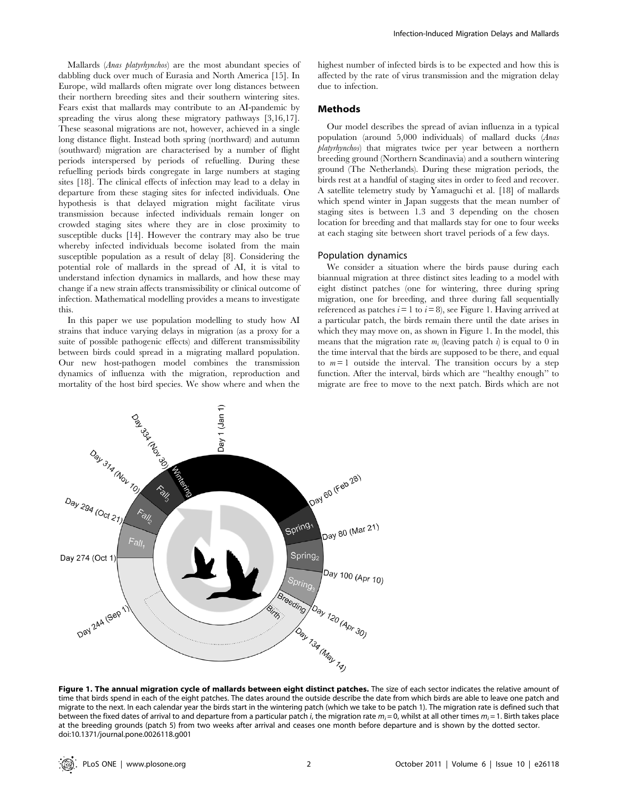Mallards (Anas platyrhynchos) are the most abundant species of dabbling duck over much of Eurasia and North America [15]. In Europe, wild mallards often migrate over long distances between their northern breeding sites and their southern wintering sites. Fears exist that mallards may contribute to an AI-pandemic by spreading the virus along these migratory pathways [3,16,17]. These seasonal migrations are not, however, achieved in a single long distance flight. Instead both spring (northward) and autumn (southward) migration are characterised by a number of flight periods interspersed by periods of refuelling. During these refuelling periods birds congregate in large numbers at staging sites [18]. The clinical effects of infection may lead to a delay in departure from these staging sites for infected individuals. One hypothesis is that delayed migration might facilitate virus transmission because infected individuals remain longer on crowded staging sites where they are in close proximity to susceptible ducks [14]. However the contrary may also be true whereby infected individuals become isolated from the main susceptible population as a result of delay [8]. Considering the potential role of mallards in the spread of AI, it is vital to understand infection dynamics in mallards, and how these may change if a new strain affects transmissibility or clinical outcome of infection. Mathematical modelling provides a means to investigate this.

In this paper we use population modelling to study how AI strains that induce varying delays in migration (as a proxy for a suite of possible pathogenic effects) and different transmissibility between birds could spread in a migrating mallard population. Our new host-pathogen model combines the transmission dynamics of influenza with the migration, reproduction and mortality of the host bird species. We show where and when the

highest number of infected birds is to be expected and how this is affected by the rate of virus transmission and the migration delay due to infection.

#### Methods

Our model describes the spread of avian influenza in a typical population (around 5,000 individuals) of mallard ducks (Anas platyrhynchos) that migrates twice per year between a northern breeding ground (Northern Scandinavia) and a southern wintering ground (The Netherlands). During these migration periods, the birds rest at a handful of staging sites in order to feed and recover. A satellite telemetry study by Yamaguchi et al. [18] of mallards which spend winter in Japan suggests that the mean number of staging sites is between 1.3 and 3 depending on the chosen location for breeding and that mallards stay for one to four weeks at each staging site between short travel periods of a few days.

#### Population dynamics

We consider a situation where the birds pause during each biannual migration at three distinct sites leading to a model with eight distinct patches (one for wintering, three during spring migration, one for breeding, and three during fall sequentially referenced as patches  $i=1$  to  $i=8$ ), see Figure 1. Having arrived at a particular patch, the birds remain there until the date arises in which they may move on, as shown in Figure 1. In the model, this means that the migration rate  $m_i$  (leaving patch  $i$ ) is equal to 0 in the time interval that the birds are supposed to be there, and equal to  $m = 1$  outside the interval. The transition occurs by a step function. After the interval, birds which are ''healthy enough'' to migrate are free to move to the next patch. Birds which are not



Figure 1. The annual migration cycle of mallards between eight distinct patches. The size of each sector indicates the relative amount of time that birds spend in each of the eight patches. The dates around the outside describe the date from which birds are able to leave one patch and migrate to the next. In each calendar year the birds start in the wintering patch (which we take to be patch 1). The migration rate is defined such that between the fixed dates of arrival to and departure from a particular patch *i*, the migration rate  $m_i = 0$ , whilst at all other times  $m_i = 1$ . Birth takes place at the breeding grounds (patch 5) from two weeks after arrival and ceases one month before departure and is shown by the dotted sector. doi:10.1371/journal.pone.0026118.g001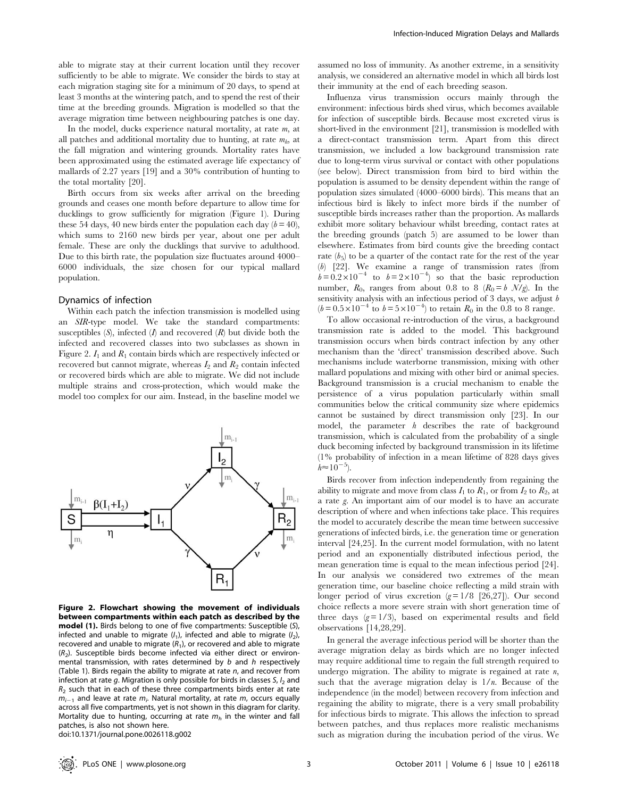able to migrate stay at their current location until they recover sufficiently to be able to migrate. We consider the birds to stay at each migration staging site for a minimum of 20 days, to spend at least 3 months at the wintering patch, and to spend the rest of their time at the breeding grounds. Migration is modelled so that the average migration time between neighbouring patches is one day.

In the model, ducks experience natural mortality, at rate m, at all patches and additional mortality due to hunting, at rate  $m_h$ , at the fall migration and wintering grounds. Mortality rates have been approximated using the estimated average life expectancy of mallards of 2.27 years [19] and a 30% contribution of hunting to the total mortality [20].

Birth occurs from six weeks after arrival on the breeding grounds and ceases one month before departure to allow time for ducklings to grow sufficiently for migration (Figure 1). During these 54 days, 40 new birds enter the population each day  $(b = 40)$ , which sums to 2160 new birds per year, about one per adult female. These are only the ducklings that survive to adulthood. Due to this birth rate, the population size fluctuates around 4000– 6000 individuals, the size chosen for our typical mallard population.

#### Dynamics of infection

Within each patch the infection transmission is modelled using an SIR-type model. We take the standard compartments: susceptibles  $(S)$ , infected  $(I)$  and recovered  $(R)$  but divide both the infected and recovered classes into two subclasses as shown in Figure 2.  $I_1$  and  $R_1$  contain birds which are respectively infected or recovered but cannot migrate, whereas  $I_2$  and  $R_2$  contain infected or recovered birds which are able to migrate. We did not include multiple strains and cross-protection, which would make the model too complex for our aim. Instead, in the baseline model we



Figure 2. Flowchart showing the movement of individuals between compartments within each patch as described by the model (1). Birds belong to one of five compartments: Susceptible (S), infected and unable to migrate  $(l_1)$ , infected and able to migrate  $(l_2)$ , recovered and unable to migrate  $(R_1)$ , or recovered and able to migrate  $(R<sub>2</sub>)$ . Susceptible birds become infected via either direct or environmental transmission, with rates determined by b and h respectively (Table 1). Birds regain the ability to migrate at rate  $n$ , and recover from infection at rate g. Migration is only possible for birds in classes  $S$ ,  $I_2$  and  $R<sub>2</sub>$  such that in each of these three compartments birds enter at rate  $m_{i-1}$  and leave at rate  $m_i$ . Natural mortality, at rate  $m$ , occurs equally across all five compartments, yet is not shown in this diagram for clarity. Mortality due to hunting, occurring at rate  $m_h$  in the winter and fall patches, is also not shown here. doi:10.1371/journal.pone.0026118.g002

assumed no loss of immunity. As another extreme, in a sensitivity analysis, we considered an alternative model in which all birds lost their immunity at the end of each breeding season.

Influenza virus transmission occurs mainly through the environment: infectious birds shed virus, which becomes available for infection of susceptible birds. Because most excreted virus is short-lived in the environment [21], transmission is modelled with a direct-contact transmission term. Apart from this direct transmission, we included a low background transmission rate due to long-term virus survival or contact with other populations (see below). Direct transmission from bird to bird within the population is assumed to be density dependent within the range of population sizes simulated (4000–6000 birds). This means that an infectious bird is likely to infect more birds if the number of susceptible birds increases rather than the proportion. As mallards exhibit more solitary behaviour whilst breeding, contact rates at the breeding grounds (patch 5) are assumed to be lower than elsewhere. Estimates from bird counts give the breeding contact rate  $(b_5)$  to be a quarter of the contact rate for the rest of the year (b) [22]. We examine a range of transmission rates (from  $b=0.2\times10^{-4}$  to  $b=2\times10^{-4}$  so that the basic reproduction number,  $R_0$ , ranges from about 0.8 to 8  $(R_0 = b \mathcal{N}/g)$ . In the sensitivity analysis with an infectious period of 3 days, we adjust  $b$  $(b=0.5\times10^{-4}$  to  $b=5\times10^{-4}$ ) to retain  $R_0$  in the 0.8 to 8 range.

To allow occasional re-introduction of the virus, a background transmission rate is added to the model. This background transmission occurs when birds contract infection by any other mechanism than the 'direct' transmission described above. Such mechanisms include waterborne transmission, mixing with other mallard populations and mixing with other bird or animal species. Background transmission is a crucial mechanism to enable the persistence of a virus population particularly within small communities below the critical community size where epidemics cannot be sustained by direct transmission only [23]. In our model, the parameter  $h$  describes the rate of background transmission, which is calculated from the probability of a single duck becoming infected by background transmission in its lifetime (1% probability of infection in a mean lifetime of 828 days gives  $h \approx 10^{-5}$ ).

Birds recover from infection independently from regaining the ability to migrate and move from class  $I_1$  to  $R_1$ , or from  $I_2$  to  $R_2$ , at a rate g. An important aim of our model is to have an accurate description of where and when infections take place. This requires the model to accurately describe the mean time between successive generations of infected birds, i.e. the generation time or generation interval [24,25]. In the current model formulation, with no latent period and an exponentially distributed infectious period, the mean generation time is equal to the mean infectious period [24]. In our analysis we considered two extremes of the mean generation time, our baseline choice reflecting a mild strain with longer period of virus excretion  $(g=1/8)$  [26,27]). Our second choice reflects a more severe strain with short generation time of three days  $(g=1/3)$ , based on experimental results and field observations [14,28,29].

In general the average infectious period will be shorter than the average migration delay as birds which are no longer infected may require additional time to regain the full strength required to undergo migration. The ability to migrate is regained at rate  $n$ , such that the average migration delay is  $1/n$ . Because of the independence (in the model) between recovery from infection and regaining the ability to migrate, there is a very small probability for infectious birds to migrate. This allows the infection to spread between patches, and thus replaces more realistic mechanisms such as migration during the incubation period of the virus. We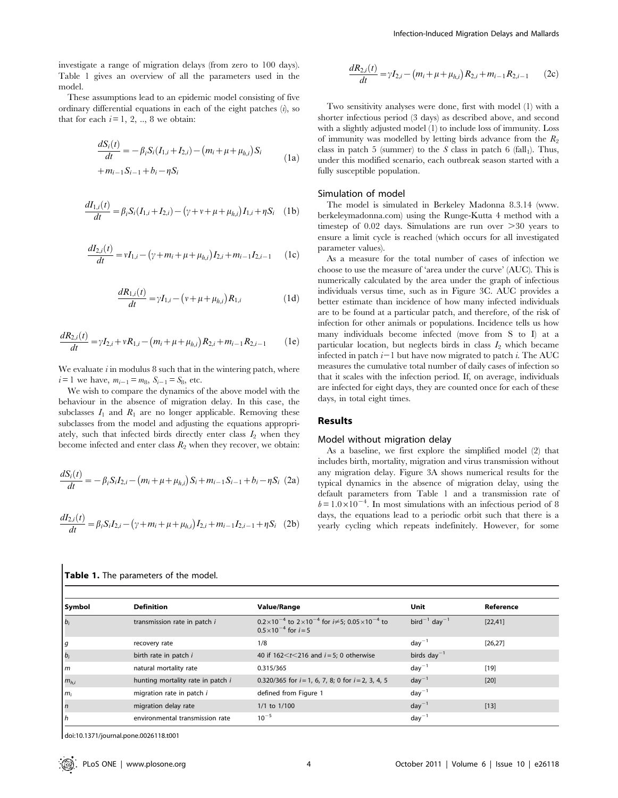investigate a range of migration delays (from zero to 100 days). Table 1 gives an overview of all the parameters used in the model.

These assumptions lead to an epidemic model consisting of five ordinary differential equations in each of the eight patches  $(i)$ , so that for each  $i=1, 2, ..., 8$  we obtain:

$$
\frac{dS_i(t)}{dt} = -\beta_i S_i(I_{1,i} + I_{2,i}) - (m_i + \mu + \mu_{h,i}) S_i
$$
  
+  $m_{i-1} S_{i-1} + b_i - \eta S_i$  (1a)

$$
\frac{dI_{1,i}(t)}{dt} = \beta_i S_i (I_{1,i} + I_{2,i}) - (\gamma + \nu + \mu + \mu_{h,i}) I_{1,i} + \eta S_i \quad (1b)
$$

$$
\frac{dI_{2,i}(t)}{dt} = vI_{1,i} - (\gamma + m_i + \mu + \mu_{h,i})I_{2,i} + m_{i-1}I_{2,i-1}
$$
 (1c)

$$
\frac{dR_{1,i}(t)}{dt} = \gamma I_{1,i} - (\nu + \mu + \mu_{h,i})R_{1,i} \tag{1d}
$$

$$
\frac{dR_{2,i}(t)}{dt} = \gamma I_{2,i} + \nu R_{1,i} - \left(m_i + \mu + \mu_{h,i}\right) R_{2,i} + m_{i-1} R_{2,i-1} \tag{1e}
$$

We evaluate  $i$  in modulus 8 such that in the wintering patch, where  $i = 1$  we have,  $m_{i-1} = m_8$ ,  $S_{i-1} = S_8$ , etc.

We wish to compare the dynamics of the above model with the behaviour in the absence of migration delay. In this case, the subclasses  $I_1$  and  $R_1$  are no longer applicable. Removing these subclasses from the model and adjusting the equations appropriately, such that infected birds directly enter class  $I_2$  when they become infected and enter class  $R_2$  when they recover, we obtain:

$$
\frac{dS_i(t)}{dt} = -\beta_i S_i I_{2,i} - (m_i + \mu + \mu_{h,i}) S_i + m_{i-1} S_{i-1} + b_i - \eta S_i
$$
 (2a)

$$
\frac{dI_{2,i}(t)}{dt} = \beta_i S_i I_{2,i} - (\gamma + m_i + \mu + \mu_{h,i}) I_{2,i} + m_{i-1} I_{2,i-1} + \eta S_i
$$
 (2b)

$$
\frac{dR_{2,i}(t)}{dt} = \gamma I_{2,i} - \left(m_i + \mu + \mu_{h,i}\right) R_{2,i} + m_{i-1} R_{2,i-1} \qquad (2c)
$$

Two sensitivity analyses were done, first with model (1) with a shorter infectious period (3 days) as described above, and second with a slightly adjusted model (1) to include loss of immunity. Loss of immunity was modelled by letting birds advance from the  $R_2$ class in patch 5 (summer) to the S class in patch 6 (fall<sub>1</sub>). Thus, under this modified scenario, each outbreak season started with a fully susceptible population.

#### Simulation of model

The model is simulated in Berkeley Madonna 8.3.14 (www. berkeleymadonna.com) using the Runge-Kutta 4 method with a timestep of  $0.02$  days. Simulations are run over  $>30$  years to ensure a limit cycle is reached (which occurs for all investigated parameter values).

As a measure for the total number of cases of infection we choose to use the measure of 'area under the curve' (AUC). This is numerically calculated by the area under the graph of infectious individuals versus time, such as in Figure 3C. AUC provides a better estimate than incidence of how many infected individuals are to be found at a particular patch, and therefore, of the risk of infection for other animals or populations. Incidence tells us how many individuals become infected (move from S to I) at a particular location, but neglects birds in class  $I_2$  which became infected in patch  $i-1$  but have now migrated to patch i. The AUC measures the cumulative total number of daily cases of infection so that it scales with the infection period. If, on average, individuals are infected for eight days, they are counted once for each of these days, in total eight times.

#### Results

#### Model without migration delay

As a baseline, we first explore the simplified model (2) that includes birth, mortality, migration and virus transmission without any migration delay. Figure 3A shows numerical results for the typical dynamics in the absence of migration delay, using the default parameters from Table 1 and a transmission rate of  $b=1.0\times10^{-4}$ . In most simulations with an infectious period of 8 days, the equations lead to a periodic orbit such that there is a yearly cycling which repeats indefinitely. However, for some

| <b>Symbol</b>       | <b>Definition</b>                 | <b>Value/Range</b>                                                                                                       | Unit                          | Reference |
|---------------------|-----------------------------------|--------------------------------------------------------------------------------------------------------------------------|-------------------------------|-----------|
| $\mid b_i \mid$     | transmission rate in patch i      | $0.2 \times 10^{-4}$ to $2 \times 10^{-4}$ for $i \neq 5$ ; $0.05 \times 10^{-4}$ to<br>$0.5 \times 10^{-4}$ for $i = 5$ | $bird^{-1}$ day <sup>-1</sup> | [22, 41]  |
| <u>  g</u>          | recovery rate                     | 1/8                                                                                                                      | $day^{-1}$                    | [26, 27]  |
| $\vert b_i \vert$   | birth rate in patch i             | 40 if $162 < t < 216$ and $i = 5$ ; 0 otherwise                                                                          | birds day <sup>-1</sup>       |           |
| $\mathsf{I}$        | natural mortality rate            | 0.315/365                                                                                                                | $day^{-1}$                    | $[19]$    |
| $m_{h,i}$           | hunting mortality rate in patch i | 0.320/365 for $i = 1, 6, 7, 8; 0$ for $i = 2, 3, 4, 5$                                                                   | $day^{-1}$                    | $[20]$    |
| $m_i$               | migration rate in patch i         | defined from Figure 1                                                                                                    | $day^{-1}$                    |           |
| $\lfloor n \rfloor$ | migration delay rate              | $1/1$ to $1/100$                                                                                                         | $day^{-1}$                    | $[13]$    |
| h                   | environmental transmission rate   | $10^{-5}$                                                                                                                | $day^-$                       |           |

doi:10.1371/journal.pone.0026118.t001

Table 1. The parameters of the model.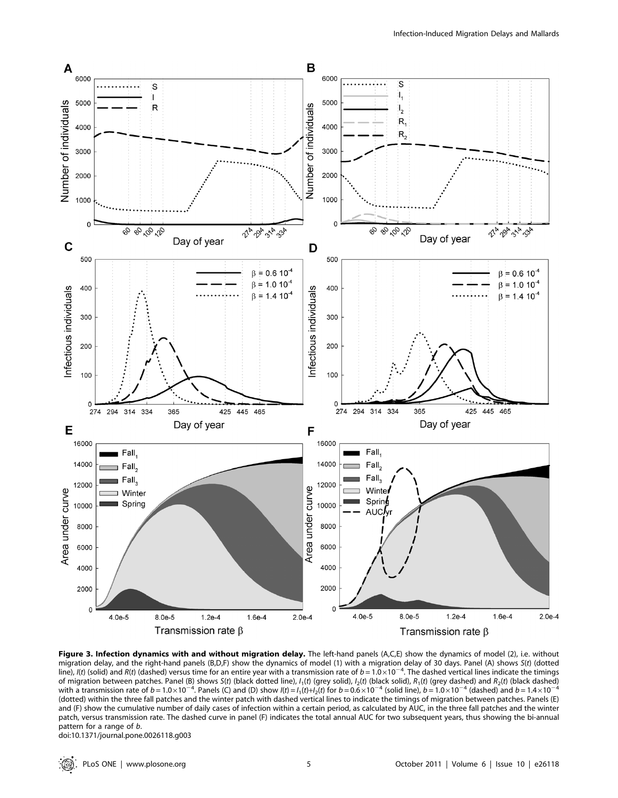

Figure 3. Infection dynamics with and without migration delay. The left-hand panels (A,C,E) show the dynamics of model (2), i.e. without migration delay, and the right-hand panels (B,D,F) show the dynamics of model (1) with a migration delay of 30 days. Panel (A) shows S(t) (dotted<br>line), I(t) (solid) and R(t) (dashed) versus time for an entire year with a of migration between patches. Panel (B) shows S(t) (black dotted line),  $I_1(t)$  (grey solid),  $I_2(t)$  (black solid),  $R_1(t)$  (grey dashed) and  $R_2(t)$  (black dashed) with a transmission rate of  $b = 1.0 \times 10^{-4}$ . Panels (C) and (D) show  $I(t) = I_1(t) + I_2(t)$  for  $b = 0.6 \times 10^{-4}$  (solid line),  $b = 1.0 \times 10^{-4}$  (dashed) and  $b = 1.4 \times 10^{-4}$ (dotted) within the three fall patches and the winter patch with dashed vertical lines to indicate the timings of migration between patches. Panels (E) and (F) show the cumulative number of daily cases of infection within a certain period, as calculated by AUC, in the three fall patches and the winter patch, versus transmission rate. The dashed curve in panel (F) indicates the total annual AUC for two subsequent years, thus showing the bi-annual pattern for a range of b.

doi:10.1371/journal.pone.0026118.g003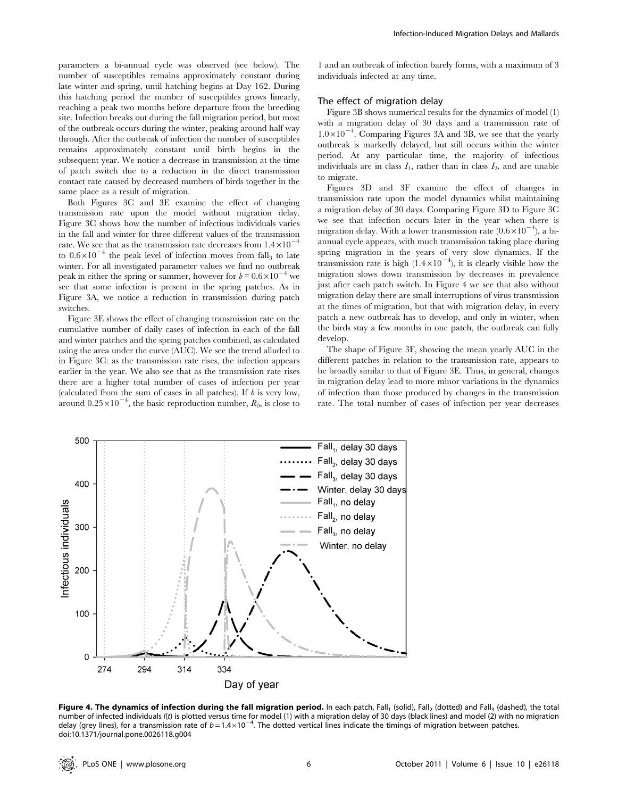parameters a bi-annual cycle was observed (see below). The number of susceptibles remains approximately constant during late winter and spring, until hatching begins at Day 162. During this hatching period the number of susceptibles grows linearly, reaching a peak two months before departure from the breeding site. Infection breaks out during the fall migration period, but most of the outbreak occurs during the winter, peaking around half way through. After the outbreak of infection the number of susceptibles remains approximately constant until birth begins in the subsequent year. We notice a decrease in transmission at the time of patch switch due to a reduction in the direct transmission contact rate caused by decreased numbers of birds together in the same place as a result of migration.

Both Figures 3C and 3E examine the effect of changing transmission rate upon the model without migration delay. Figure 3C shows how the number of infectious individuals varies in the fall and winter for three different values of the transmission rate. We see that as the transmission rate decreases from  $1.4\times10^{-4}$ to  $0.6 \times 10^{-4}$  the peak level of infection moves from fall<sub>3</sub> to late winter. For all investigated parameter values we find no outbreak peak in either the spring or summer, however for  $b = 0.6 \times 10^{-4}$  we see that some infection is present in the spring patches. As in Figure 3A, we notice a reduction in transmission during patch switches.

Figure 3E shows the effect of changing transmission rate on the cumulative number of daily cases of infection in each of the fall and winter patches and the spring patches combined, as calculated using the area under the curve (AUC). We see the trend alluded to in Figure 3C: as the transmission rate rises, the infection appears earlier in the year. We also see that as the transmission rate rises there are a higher total number of cases of infection per year (calculated from the sum of cases in all patches). If  $b$  is very low, around  $0.25 \times 10^{-4}$ , the basic reproduction number,  $R_0$ , is close to

1 and an outbreak of infection barely forms, with a maximum of 3 individuals infected at any time.

#### The effect of migration delay

Figure 3B shows numerical results for the dynamics of model (1) with a migration delay of 30 days and a transmission rate of  $1.0\times10^{-4}$ . Comparing Figures 3A and 3B, we see that the yearly outbreak is markedly delayed, but still occurs within the winter period. At any particular time, the majority of infectious individuals are in class  $I_1$ , rather than in class  $I_2$ , and are unable to migrate.

Figures 3D and 3F examine the effect of changes in transmission rate upon the model dynamics whilst maintaining a migration delay of 30 days. Comparing Figure 3D to Figure 3C we see that infection occurs later in the year when there is migration delay. With a lower transmission rate  $(0.6 \times 10^{-4})$ , a biannual cycle appears, with much transmission taking place during spring migration in the years of very slow dynamics. If the transmission rate is high  $(1.4 \times 10^{-4})$ , it is clearly visible how the migration slows down transmission by decreases in prevalence just after each patch switch. In Figure 4 we see that also without migration delay there are small interruptions of virus transmission at the times of migration, but that with migration delay, in every patch a new outbreak has to develop, and only in winter, when the birds stay a few months in one patch, the outbreak can fully develop.

The shape of Figure 3F, showing the mean yearly AUC in the different patches in relation to the transmission rate, appears to be broadly similar to that of Figure 3E. Thus, in general, changes in migration delay lead to more minor variations in the dynamics of infection than those produced by changes in the transmission rate. The total number of cases of infection per year decreases



Figure 4. The dynamics of infection during the fall migration period. In each patch, Fall<sub>1</sub> (solid), Fall<sub>2</sub> (dotted) and Fall<sub>3</sub> (dashed), the total number of infected individuals I(t) is plotted versus time for model (1) with a migration delay of 30 days (black lines) and model (2) with no migration delay (grey lines), for a transmission rate of  $b = 1.4 \times 10^{-4}$ . The dotted vertical lines indicate the timings of migration between patches. doi:10.1371/journal.pone.0026118.g004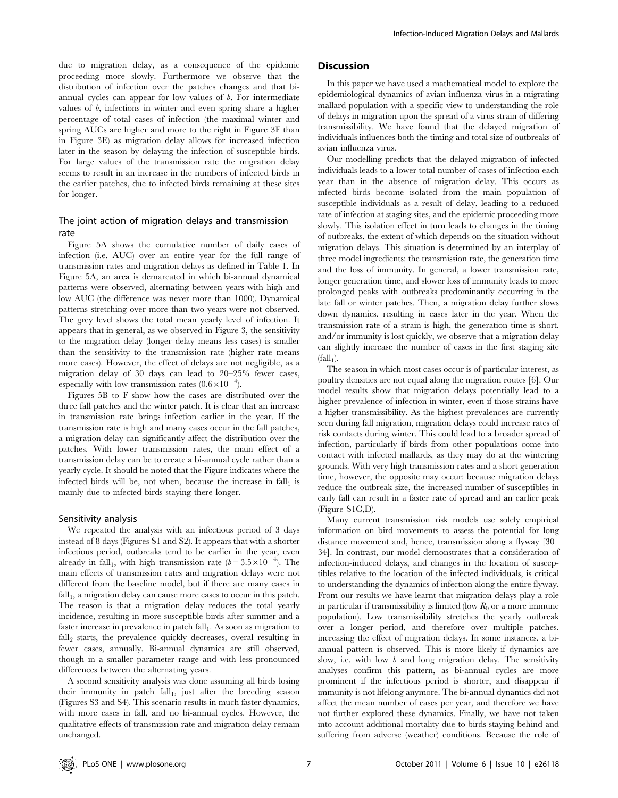due to migration delay, as a consequence of the epidemic proceeding more slowly. Furthermore we observe that the distribution of infection over the patches changes and that biannual cycles can appear for low values of  $b$ . For intermediate values of b, infections in winter and even spring share a higher percentage of total cases of infection (the maximal winter and spring AUCs are higher and more to the right in Figure 3F than in Figure 3E) as migration delay allows for increased infection later in the season by delaying the infection of susceptible birds. For large values of the transmission rate the migration delay seems to result in an increase in the numbers of infected birds in the earlier patches, due to infected birds remaining at these sites for longer.

#### The joint action of migration delays and transmission rate

Figure 5A shows the cumulative number of daily cases of infection (i.e. AUC) over an entire year for the full range of transmission rates and migration delays as defined in Table 1. In Figure 5A, an area is demarcated in which bi-annual dynamical patterns were observed, alternating between years with high and low AUC (the difference was never more than 1000). Dynamical patterns stretching over more than two years were not observed. The grey level shows the total mean yearly level of infection. It appears that in general, as we observed in Figure 3, the sensitivity to the migration delay (longer delay means less cases) is smaller than the sensitivity to the transmission rate (higher rate means more cases). However, the effect of delays are not negligible, as a migration delay of 30 days can lead to 20–25% fewer cases, especially with low transmission rates  $(0.6 \times 10^{-4})$ .

Figures 5B to F show how the cases are distributed over the three fall patches and the winter patch. It is clear that an increase in transmission rate brings infection earlier in the year. If the transmission rate is high and many cases occur in the fall patches, a migration delay can significantly affect the distribution over the patches. With lower transmission rates, the main effect of a transmission delay can be to create a bi-annual cycle rather than a yearly cycle. It should be noted that the Figure indicates where the infected birds will be, not when, because the increase in  $fall_1$  is mainly due to infected birds staying there longer.

#### Sensitivity analysis

We repeated the analysis with an infectious period of 3 days instead of 8 days (Figures S1 and S2). It appears that with a shorter infectious period, outbreaks tend to be earlier in the year, even already in fall<sub>1</sub>, with high transmission rate  $(b=3.5\times10^{-4})$ . The main effects of transmission rates and migration delays were not different from the baseline model, but if there are many cases in  $fall<sub>1</sub>$ , a migration delay can cause more cases to occur in this patch. The reason is that a migration delay reduces the total yearly incidence, resulting in more susceptible birds after summer and a faster increase in prevalence in patch  $fall<sub>1</sub>$ . As soon as migration to  $fall<sub>2</sub> starts, the prevalence quickly decreases, overall resulting in$ fewer cases, annually. Bi-annual dynamics are still observed, though in a smaller parameter range and with less pronounced differences between the alternating years.

A second sensitivity analysis was done assuming all birds losing their immunity in patch  $fall<sub>1</sub>$ , just after the breeding season (Figures S3 and S4). This scenario results in much faster dynamics, with more cases in fall, and no bi-annual cycles. However, the qualitative effects of transmission rate and migration delay remain unchanged.

#### **Discussion**

In this paper we have used a mathematical model to explore the epidemiological dynamics of avian influenza virus in a migrating mallard population with a specific view to understanding the role of delays in migration upon the spread of a virus strain of differing transmissibility. We have found that the delayed migration of individuals influences both the timing and total size of outbreaks of avian influenza virus.

Our modelling predicts that the delayed migration of infected individuals leads to a lower total number of cases of infection each year than in the absence of migration delay. This occurs as infected birds become isolated from the main population of susceptible individuals as a result of delay, leading to a reduced rate of infection at staging sites, and the epidemic proceeding more slowly. This isolation effect in turn leads to changes in the timing of outbreaks, the extent of which depends on the situation without migration delays. This situation is determined by an interplay of three model ingredients: the transmission rate, the generation time and the loss of immunity. In general, a lower transmission rate, longer generation time, and slower loss of immunity leads to more prolonged peaks with outbreaks predominantly occurring in the late fall or winter patches. Then, a migration delay further slows down dynamics, resulting in cases later in the year. When the transmission rate of a strain is high, the generation time is short, and/or immunity is lost quickly, we observe that a migration delay can slightly increase the number of cases in the first staging site  $(fall<sub>1</sub>)$ .

The season in which most cases occur is of particular interest, as poultry densities are not equal along the migration routes [6]. Our model results show that migration delays potentially lead to a higher prevalence of infection in winter, even if those strains have a higher transmissibility. As the highest prevalences are currently seen during fall migration, migration delays could increase rates of risk contacts during winter. This could lead to a broader spread of infection, particularly if birds from other populations come into contact with infected mallards, as they may do at the wintering grounds. With very high transmission rates and a short generation time, however, the opposite may occur: because migration delays reduce the outbreak size, the increased number of susceptibles in early fall can result in a faster rate of spread and an earlier peak (Figure S1C,D).

Many current transmission risk models use solely empirical information on bird movements to assess the potential for long distance movement and, hence, transmission along a flyway [30– 34]. In contrast, our model demonstrates that a consideration of infection-induced delays, and changes in the location of susceptibles relative to the location of the infected individuals, is critical to understanding the dynamics of infection along the entire flyway. From our results we have learnt that migration delays play a role in particular if transmissibility is limited (low  $R_0$  or a more immune population). Low transmissibility stretches the yearly outbreak over a longer period, and therefore over multiple patches, increasing the effect of migration delays. In some instances, a biannual pattern is observed. This is more likely if dynamics are slow, i.e. with low  $b$  and long migration delay. The sensitivity analyses confirm this pattern, as bi-annual cycles are more prominent if the infectious period is shorter, and disappear if immunity is not lifelong anymore. The bi-annual dynamics did not affect the mean number of cases per year, and therefore we have not further explored these dynamics. Finally, we have not taken into account additional mortality due to birds staying behind and suffering from adverse (weather) conditions. Because the role of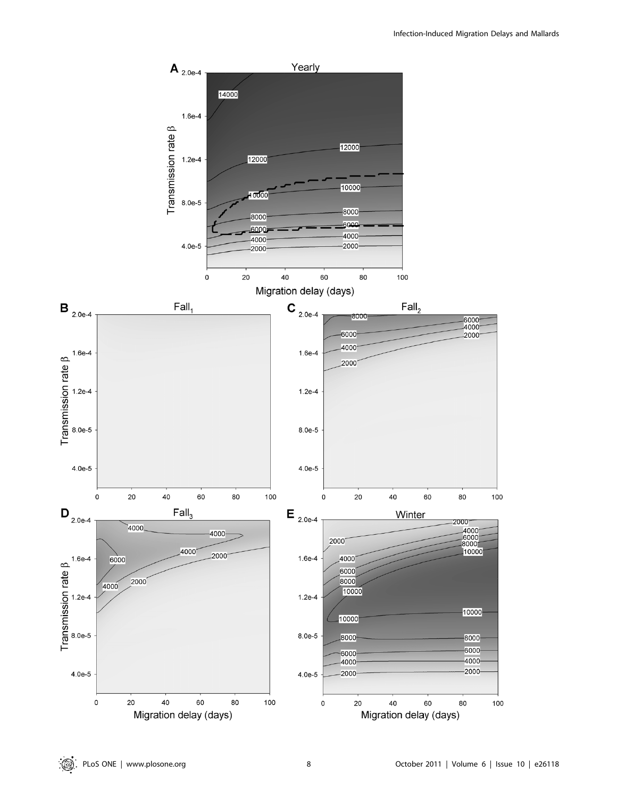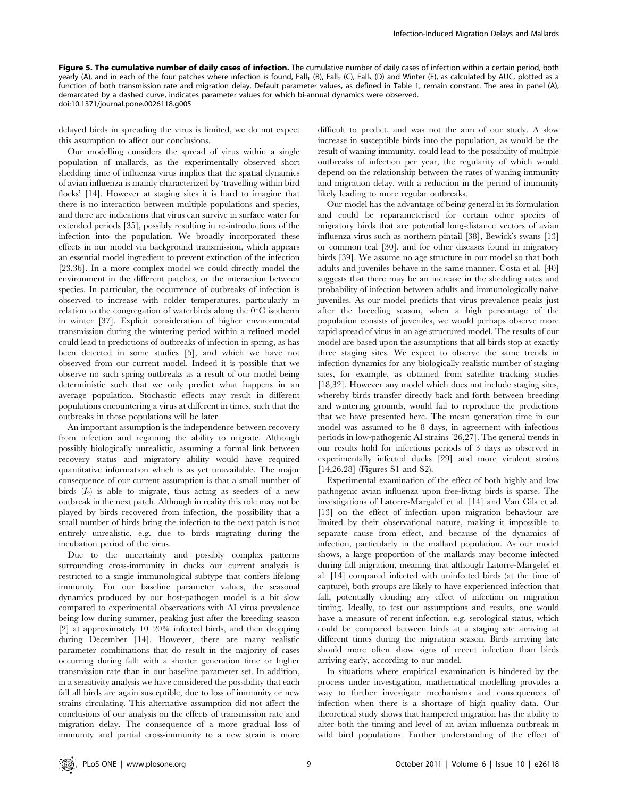Figure 5. The cumulative number of daily cases of infection. The cumulative number of daily cases of infection within a certain period, both yearly (A), and in each of the four patches where infection is found, Fall<sub>1</sub> (B), Fall<sub>2</sub> (C), Fall<sub>3</sub> (D) and Winter (E), as calculated by AUC, plotted as a function of both transmission rate and migration delay. Default parameter values, as defined in Table 1, remain constant. The area in panel (A), demarcated by a dashed curve, indicates parameter values for which bi-annual dynamics were observed. doi:10.1371/journal.pone.0026118.g005

delayed birds in spreading the virus is limited, we do not expect this assumption to affect our conclusions.

Our modelling considers the spread of virus within a single population of mallards, as the experimentally observed short shedding time of influenza virus implies that the spatial dynamics of avian influenza is mainly characterized by 'travelling within bird flocks' [14]. However at staging sites it is hard to imagine that there is no interaction between multiple populations and species, and there are indications that virus can survive in surface water for extended periods [35], possibly resulting in re-introductions of the infection into the population. We broadly incorporated these effects in our model via background transmission, which appears an essential model ingredient to prevent extinction of the infection [23,36]. In a more complex model we could directly model the environment in the different patches, or the interaction between species. In particular, the occurrence of outbreaks of infection is observed to increase with colder temperatures, particularly in relation to the congregation of waterbirds along the  $0^{\circ}$ C isotherm in winter [37]. Explicit consideration of higher environmental transmission during the wintering period within a refined model could lead to predictions of outbreaks of infection in spring, as has been detected in some studies [5], and which we have not observed from our current model. Indeed it is possible that we observe no such spring outbreaks as a result of our model being deterministic such that we only predict what happens in an average population. Stochastic effects may result in different populations encountering a virus at different in times, such that the outbreaks in those populations will be later.

An important assumption is the independence between recovery from infection and regaining the ability to migrate. Although possibly biologically unrealistic, assuming a formal link between recovery status and migratory ability would have required quantitative information which is as yet unavailable. The major consequence of our current assumption is that a small number of birds  $(I_2)$  is able to migrate, thus acting as seeders of a new outbreak in the next patch. Although in reality this role may not be played by birds recovered from infection, the possibility that a small number of birds bring the infection to the next patch is not entirely unrealistic, e.g. due to birds migrating during the incubation period of the virus.

Due to the uncertainty and possibly complex patterns surrounding cross-immunity in ducks our current analysis is restricted to a single immunological subtype that confers lifelong immunity. For our baseline parameter values, the seasonal dynamics produced by our host-pathogen model is a bit slow compared to experimental observations with AI virus prevalence being low during summer, peaking just after the breeding season [2] at approximately 10–20% infected birds, and then dropping during December [14]. However, there are many realistic parameter combinations that do result in the majority of cases occurring during fall: with a shorter generation time or higher transmission rate than in our baseline parameter set. In addition, in a sensitivity analysis we have considered the possibility that each fall all birds are again susceptible, due to loss of immunity or new strains circulating. This alternative assumption did not affect the conclusions of our analysis on the effects of transmission rate and migration delay. The consequence of a more gradual loss of immunity and partial cross-immunity to a new strain is more

difficult to predict, and was not the aim of our study. A slow increase in susceptible birds into the population, as would be the result of waning immunity, could lead to the possibility of multiple outbreaks of infection per year, the regularity of which would depend on the relationship between the rates of waning immunity and migration delay, with a reduction in the period of immunity likely leading to more regular outbreaks.

Our model has the advantage of being general in its formulation and could be reparameterised for certain other species of migratory birds that are potential long-distance vectors of avian influenza virus such as northern pintail [38], Bewick's swans [13] or common teal [30], and for other diseases found in migratory birds [39]. We assume no age structure in our model so that both adults and juveniles behave in the same manner. Costa et al. [40] suggests that there may be an increase in the shedding rates and probability of infection between adults and immunologically naive juveniles. As our model predicts that virus prevalence peaks just after the breeding season, when a high percentage of the population consists of juveniles, we would perhaps observe more rapid spread of virus in an age structured model. The results of our model are based upon the assumptions that all birds stop at exactly three staging sites. We expect to observe the same trends in infection dynamics for any biologically realistic number of staging sites, for example, as obtained from satellite tracking studies [18,32]. However any model which does not include staging sites, whereby birds transfer directly back and forth between breeding and wintering grounds, would fail to reproduce the predictions that we have presented here. The mean generation time in our model was assumed to be 8 days, in agreement with infectious periods in low-pathogenic AI strains [26,27]. The general trends in our results hold for infectious periods of 3 days as observed in experimentally infected ducks [29] and more virulent strains [14,26,28] (Figures S1 and S2).

Experimental examination of the effect of both highly and low pathogenic avian influenza upon free-living birds is sparse. The investigations of Latorre-Margalef et al. [14] and Van Gils et al. [13] on the effect of infection upon migration behaviour are limited by their observational nature, making it impossible to separate cause from effect, and because of the dynamics of infection, particularly in the mallard population. As our model shows, a large proportion of the mallards may become infected during fall migration, meaning that although Latorre-Margelef et al. [14] compared infected with uninfected birds (at the time of capture), both groups are likely to have experienced infection that fall, potentially clouding any effect of infection on migration timing. Ideally, to test our assumptions and results, one would have a measure of recent infection, e.g. serological status, which could be compared between birds at a staging site arriving at different times during the migration season. Birds arriving late should more often show signs of recent infection than birds arriving early, according to our model.

In situations where empirical examination is hindered by the process under investigation, mathematical modelling provides a way to further investigate mechanisms and consequences of infection when there is a shortage of high quality data. Our theoretical study shows that hampered migration has the ability to alter both the timing and level of an avian influenza outbreak in wild bird populations. Further understanding of the effect of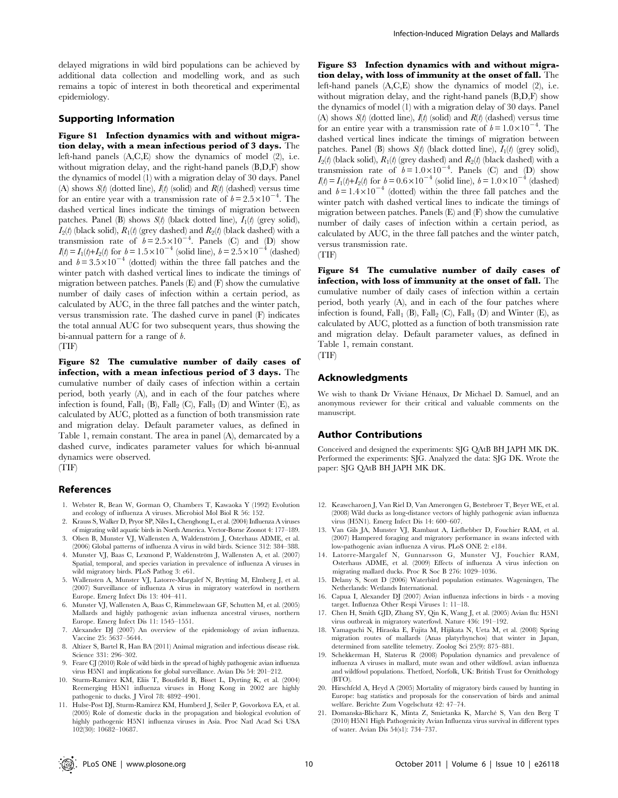delayed migrations in wild bird populations can be achieved by additional data collection and modelling work, and as such remains a topic of interest in both theoretical and experimental epidemiology.

#### Supporting Information

Figure S1 Infection dynamics with and without migration delay, with a mean infectious period of 3 days. The left-hand panels (A,C,E) show the dynamics of model (2), i.e. without migration delay, and the right-hand panels  $(B, D, F)$  show the dynamics of model (1) with a migration delay of 30 days. Panel (A) shows  $S(t)$  (dotted line),  $I(t)$  (solid) and  $R(t)$  (dashed) versus time for an entire year with a transmission rate of  $b = 2.5 \times 10^{-4}$ . The dashed vertical lines indicate the timings of migration between patches. Panel (B) shows  $S(t)$  (black dotted line),  $I_1(t)$  (grey solid),  $I_2(t)$  (black solid),  $R_1(t)$  (grey dashed) and  $R_2(t)$  (black dashed) with a transmission rate of  $b=2.5\times10^{-4}$ . Panels (C) and (D) show  $I(t) = I_1(t)+I_2(t)$  for  $b = 1.5 \times 10^{-4}$  (solid line),  $b = 2.5 \times 10^{-4}$  (dashed) and  $b = 3.5 \times 10^{-4}$  (dotted) within the three fall patches and the winter patch with dashed vertical lines to indicate the timings of migration between patches. Panels (E) and (F) show the cumulative number of daily cases of infection within a certain period, as calculated by AUC, in the three fall patches and the winter patch, versus transmission rate. The dashed curve in panel (F) indicates the total annual AUC for two subsequent years, thus showing the bi-annual pattern for a range of *.* (TIF)

Figure S2 The cumulative number of daily cases of infection, with a mean infectious period of 3 days. The cumulative number of daily cases of infection within a certain period, both yearly (A), and in each of the four patches where infection is found, Fall<sub>1</sub> (B), Fall<sub>2</sub> (C), Fall<sub>3</sub> (D) and Winter (E), as calculated by AUC, plotted as a function of both transmission rate and migration delay. Default parameter values, as defined in Table 1, remain constant. The area in panel (A), demarcated by a dashed curve, indicates parameter values for which bi-annual dynamics were observed.

(TIF)

#### References

- 1. Webster R, Bean W, Gorman O, Chambers T, Kawaoka Y (1992) Evolution and ecology of influenza A viruses. Microbiol Mol Biol R 56: 152.
- 2. Krauss S, Walker D, Pryor SP, Niles L, Chenghong L, et al. (2004) Influenza A viruses of migrating wild aquatic birds in North America. Vector-Borne Zoonot 4: 177–189.
- 3. Olsen B, Munster VJ, Wallensten A, Waldenström J, Osterhaus ADME, et al. (2006) Global patterns of influenza A virus in wild birds. Science 312: 384–388.
- 4. Munster VJ, Baas C, Lexmond P, Waldenström J, Wallensten A, et al. (2007) Spatial, temporal, and species variation in prevalence of influenza A viruses in wild migratory birds. PLoS Pathog 3: e61.
- 5. Wallensten A, Munster VJ, Latorre-Margalef N, Brytting M, Elmberg J, et al. (2007) Surveillance of influenza A virus in migratory waterfowl in northern Europe. Emerg Infect Dis 13: 404–411.
- 6. Munster VJ, Wallensten A, Baas C, Rimmelzwaan GF, Schutten M, et al. (2005) Mallards and highly pathogenic avian influenza ancestral viruses, northern Europe. Emerg Infect Dis 11: 1545–1551.
- 7. Alexander DJ (2007) An overview of the epidemiology of avian influenza. Vaccine 25: 5637–5644.
- 8. Altizer S, Bartel R, Han BA (2011) Animal migration and infectious disease risk. Science 331: 296–302.
- 9. Feare CJ (2010) Role of wild birds in the spread of highly pathogenic avian influenza virus H5N1 and implications for global surveillance. Avian Dis 54: 201–212.
- 10. Sturm-Ramirez KM, Eliis T, Bousfield B, Bisset L, Dyrting K, et al. (2004) Reemerging H5N1 influenza viruses in Hong Kong in 2002 are highly pathogenic to ducks. J Virol 78: 4892–4901.
- 11. Hulse-Post DJ, Sturm-Ramirez KM, Humberd J, Seiler P, Govorkova EA, et al. (2005) Role of domestic ducks in the propagation and biological evolution of highly pathogenic H5N1 influenza viruses in Asia. Proc Natl Acad Sci USA 102(30): 10682–10687.

Figure S3 Infection dynamics with and without migration delay, with loss of immunity at the onset of fall. The left-hand panels (A,C,E) show the dynamics of model (2), i.e. without migration delay, and the right-hand panels (B,D,F) show the dynamics of model (1) with a migration delay of 30 days. Panel (A) shows  $S(t)$  (dotted line),  $I(t)$  (solid) and  $R(t)$  (dashed) versus time for an entire year with a transmission rate of  $b = 1.0 \times 10^{-4}$ . The dashed vertical lines indicate the timings of migration between patches. Panel (B) shows  $S(t)$  (black dotted line),  $I_1(t)$  (grey solid),  $I_2(t)$  (black solid),  $R_1(t)$  (grey dashed) and  $R_2(t)$  (black dashed) with a transmission rate of  $b = 1.0 \times 10^{-4}$ . Panels (C) and (D) show  $I(t) = I_1(t) + I_2(t)$  for  $b = 0.6 \times 10^{-4}$  (solid line),  $b = 1.0 \times 10^{-4}$  (dashed) and  $b = 1.4 \times 10^{-4}$  (dotted) within the three fall patches and the winter patch with dashed vertical lines to indicate the timings of migration between patches. Panels (E) and (F) show the cumulative number of daily cases of infection within a certain period, as calculated by AUC, in the three fall patches and the winter patch, versus transmission rate.

(TIF)

Figure S4 The cumulative number of daily cases of infection, with loss of immunity at the onset of fall. The cumulative number of daily cases of infection within a certain period, both yearly (A), and in each of the four patches where infection is found, Fall<sub>1</sub> (B), Fall<sub>2</sub> (C), Fall<sub>3</sub> (D) and Winter (E), as calculated by AUC, plotted as a function of both transmission rate and migration delay. Default parameter values, as defined in Table 1, remain constant.

(TIF)

#### Acknowledgments

We wish to thank Dr Viviane Hénaux, Dr Michael D. Samuel, and an anonymous reviewer for their critical and valuable comments on the manuscript.

#### Author Contributions

Conceived and designed the experiments: SJG QAtB BH JAPH MK DK. Performed the experiments: SJG. Analyzed the data: SJG DK. Wrote the paper: SJG QAtB BH JAPH MK DK.

- 12. Keawcharoen J, Van Riel D, Van Amerongen G, Bestebroer T, Beyer WE, et al. (2008) Wild ducks as long-distance vectors of highly pathogenic avian influenza virus (H5N1). Emerg Infect Dis 14: 600–607.
- 13. Van Gils JA, Munster VJ, Rambaut A, Liefhebber D, Fouchier RAM, et al. (2007) Hampered foraging and migratory performance in swans infected with low-pathogenic avian influenza A virus. PLoS ONE 2: e184.
- 14. Latorre-Margalef N, Gunnarsson G, Munster VJ, Fouchier RAM, Osterhaus ADME, et al. (2009) Effects of influenza A virus infection on migrating mallard ducks. Proc R Soc B 276: 1029–1036.
- 15. Delany S, Scott D (2006) Waterbird population estimates. Wageningen, The Netherlands: Wetlands International.
- 16. Capua I, Alexander DJ (2007) Avian influenza infections in birds a moving target. Influenza Other Respi Viruses 1: 11–18.
- 17. Chen H, Smith GJD, Zhang SY, Qin K, Wang J, et al. (2005) Avian flu: H5N1 virus outbreak in migratory waterfowl. Nature 436: 191–192.
- 18. Yamaguchi N, Hiraoka E, Fujita M, Hijikata N, Ueta M, et al. (2008) Spring migration routes of mallards (Anas platyrhynchos) that winter in Japan, determined from satellite telemetry. Zoolog Sci 25(9): 875–881.
- 19. Schekkerman H, Slaterus R (2008) Population dynamics and prevalence of influenza A viruses in mallard, mute swan and other wildfowl. avian influenza and wildfowl populations. Thetford, Norfolk, UK: British Trust for Ornithology (BTO).
- 20. Hirschfeld A, Heyd A (2005) Mortality of migratory birds caused by hunting in Europe: bag statistics and proposals for the conservation of birds and animal welfare. Berichte Zum Vogelschutz 42: 47–74.
- 21. Domanska-Blicharz K, Minta Z, Smietanka K, Marche´ S, Van den Berg T (2010) H5N1 High Pathogenicity Avian Influenza virus survival in different types of water. Avian Dis 54(s1): 734–737.